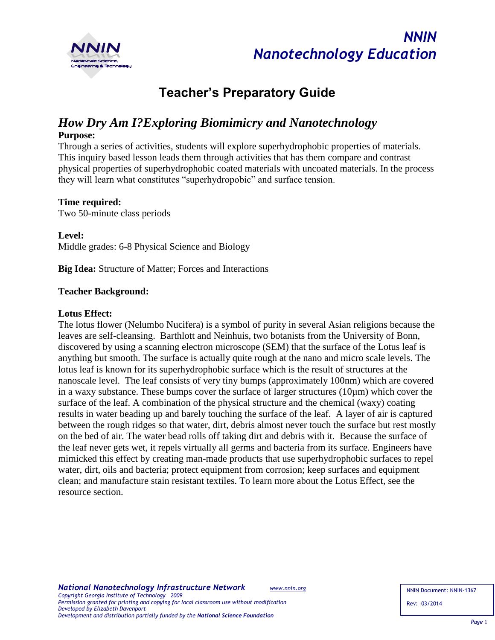



# **Teacher's Preparatory Guide**

# *How Dry Am I?Exploring Biomimicry and Nanotechnology*

#### **Purpose:**

Through a series of activities, students will explore superhydrophobic properties of materials. This inquiry based lesson leads them through activities that has them compare and contrast physical properties of superhydrophobic coated materials with uncoated materials. In the process they will learn what constitutes "superhydropobic" and surface tension.

#### **Time required:**

Two 50-minute class periods

**Level:** 

Middle grades: 6-8 Physical Science and Biology

**Big Idea:** Structure of Matter; Forces and Interactions

#### **Teacher Background:**

#### **Lotus Effect:**

The lotus flower (Nelumbo Nucifera) is a symbol of purity in several Asian religions because the leaves are self-cleansing. Barthlott and Neinhuis, two botanists from the University of Bonn, discovered by using a scanning electron microscope (SEM) that the surface of the Lotus leaf is anything but smooth. The surface is actually quite rough at the nano and micro scale levels. The lotus leaf is known for its superhydrophobic surface which is the result of structures at the nanoscale level. The leaf consists of very tiny bumps (approximately 100nm) which are covered in a waxy substance. These bumps cover the surface of larger structures (10µm) which cover the surface of the leaf. A combination of the physical structure and the chemical (waxy) coating results in water beading up and barely touching the surface of the leaf. A layer of air is captured between the rough ridges so that water, dirt, debris almost never touch the surface but rest mostly on the bed of air. The water bead rolls off taking dirt and debris with it. Because the surface of the leaf never gets wet, it repels virtually all germs and bacteria from its surface. Engineers have mimicked this effect by creating man-made products that use superhydrophobic surfaces to repel water, dirt, oils and bacteria; protect equipment from corrosion; keep surfaces and equipment clean; and manufacture stain resistant textiles. To learn more about the Lotus Effect, see the resource section.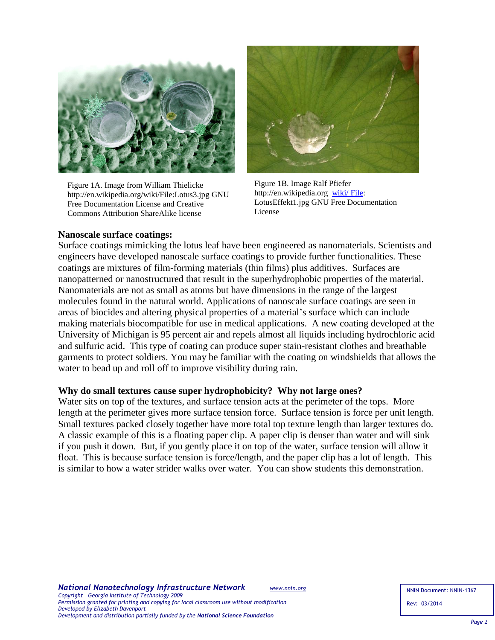

Figure 1A. Image from William Thielicke http://en.wikipedia.org/wiki/File:Lotus3.jpg GNU Free Documentation License and Creative Commons Attribution ShareAlike license



Figure 1B. Image Ralf Pfiefer http://en.wikipedia.org [wiki/ File:](http://en.wikipedia.org/wiki/%20File) LotusEffekt1.jpg GNU Free Documentation License

#### **Nanoscale surface coatings:**

Surface coatings mimicking the lotus leaf have been engineered as nanomaterials. Scientists and engineers have developed nanoscale surface coatings to provide further functionalities. These coatings are mixtures of film-forming materials (thin films) plus additives. Surfaces are nanopatterned or nanostructured that result in the superhydrophobic properties of the material. Nanomaterials are not as small as atoms but have dimensions in the range of the largest molecules found in the natural world. Applications of nanoscale surface coatings are seen in areas of biocides and altering physical properties of a material's surface which can include making materials biocompatible for use in medical applications. A new coating developed at the University of Michigan is 95 percent air and repels almost all liquids including hydrochloric acid and sulfuric acid. This type of coating can produce super stain-resistant clothes and breathable garments to protect soldiers. You may be familiar with the coating on windshields that allows the water to bead up and roll off to improve visibility during rain.

#### **Why do small textures cause super hydrophobicity? Why not large ones?**

Water sits on top of the textures, and surface tension acts at the perimeter of the tops. More length at the perimeter gives more surface tension force. Surface tension is force per unit length. Small textures packed closely together have more total top texture length than larger textures do. A classic example of this is a floating paper clip. A paper clip is denser than water and will sink if you push it down. But, if you gently place it on top of the water, surface tension will allow it float. This is because surface tension is force/length, and the paper clip has a lot of length. This is similar to how a water strider walks over water. You can show students this demonstration.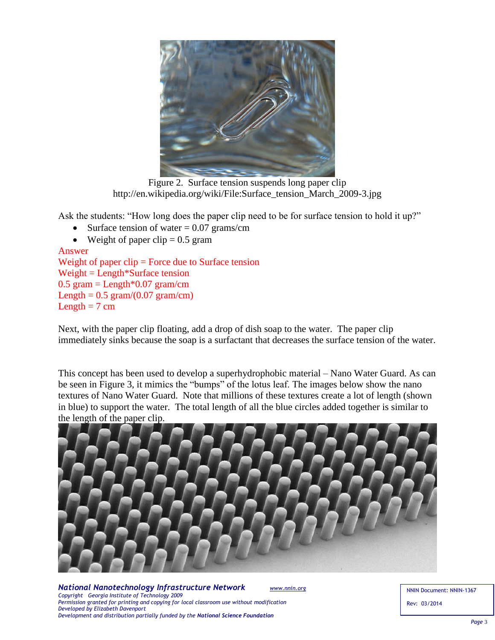

Figure 2. Surface tension suspends long paper clip http://en.wikipedia.org/wiki/File:Surface\_tension\_March\_2009-3.jpg

Ask the students: "How long does the paper clip need to be for surface tension to hold it up?"

- Surface tension of water  $= 0.07$  grams/cm
- Weight of paper clip  $= 0.5$  gram

```
Answer
Weight of paper clip = Force due to Surface tension
Weight = Length*Surface tension
0.5 gram = Length 0.07 gram/cm
Length = 0.5 gram/(0.07 gram/cm)
Length = 7 cm
```
Next, with the paper clip floating, add a drop of dish soap to the water. The paper clip immediately sinks because the soap is a surfactant that decreases the surface tension of the water.

This concept has been used to develop a superhydrophobic material – Nano Water Guard. As can be seen in Figure 3, it mimics the "bumps" of the lotus leaf. The images below show the nano textures of Nano Water Guard. Note that millions of these textures create a lot of length (shown in blue) to support the water. The total length of all the blue circles added together is similar to the length of the paper clip.



*National Nanotechnology Infrastructure Network [www.nnin.org](http://www.nnin.org/) Copyright Georgia Institute of Technology 2009 Permission granted for printing and copying for local classroom use without modification Developed by Elizabeth Davenport Development and distribution partially funded by the National Science Foundation*

NNIN Document: NNIN-1367 Rev: 03/2014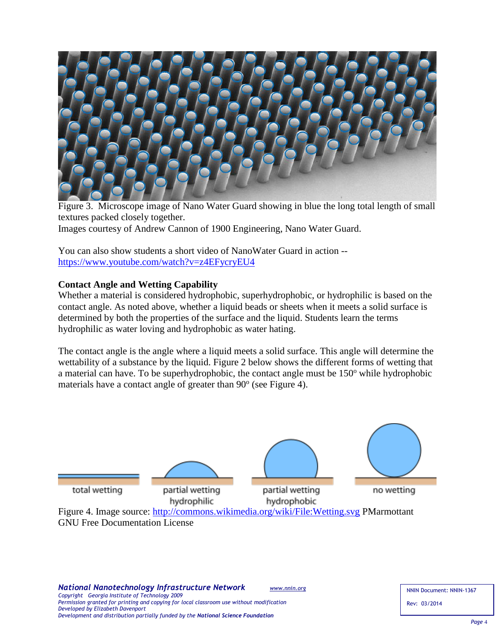

Figure 3. Microscope image of Nano Water Guard showing in blue the long total length of small textures packed closely together. Images courtesy of Andrew Cannon of 1900 Engineering, Nano Water Guard.

You can also show students a short video of NanoWater Guard in action - <https://www.youtube.com/watch?v=z4EFycryEU4>

## **Contact Angle and Wetting Capability**

Whether a material is considered hydrophobic, superhydrophobic, or hydrophilic is based on the contact angle. As noted above, whether a liquid beads or sheets when it meets a solid surface is determined by both the properties of the surface and the liquid. Students learn the terms hydrophilic as water loving and hydrophobic as water hating.

The contact angle is the angle where a liquid meets a solid surface. This angle will determine the wettability of a substance by the liquid. Figure 2 below shows the different forms of wetting that a material can have. To be superhydrophobic, the contact angle must be  $150^{\circ}$  while hydrophobic materials have a contact angle of greater than 90° (see Figure 4).



GNU Free Documentation License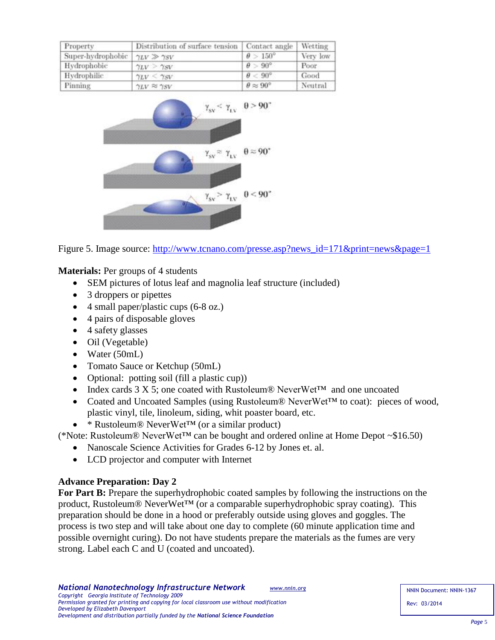| Property          | Distribution of surface tension   Contact angle |                             | Wetting  |
|-------------------|-------------------------------------------------|-----------------------------|----------|
| Super-hydrophobic | $\gamma_{LV}\gg\gamma_{SV}$                     | $\theta > 150^{\circ}$      | Very low |
| Hydrophobic       | $\gamma_{LV} > \gamma_{SV}$                     | $\theta > 90^{\circ}$       | Poor     |
| Hydrophilic       | $\gamma_{LV} < \gamma_{SV}$                     | $\theta < 90^{\circ}$       | Good     |
| Pinning           | $\gamma_{LV}\approx\gamma_{SV}$                 | $\theta \approx 90^{\circ}$ | Neutral  |



Figure 5. Image source: [http://www.tcnano.com/presse.asp?news\\_id=171&print=news&page=1](http://www.tcnano.com/presse.asp?news_id=171&print=news&page=1)

**Materials:** Per groups of 4 students

- SEM pictures of lotus leaf and magnolia leaf structure (included)
- 3 droppers or pipettes
- 4 small paper/plastic cups (6-8 oz.)
- 4 pairs of disposable gloves
- 4 safety glasses
- Oil (Vegetable)
- Water  $(50mL)$
- Tomato Sauce or Ketchup (50mL)
- Optional: potting soil (fill a plastic cup))
- Index cards 3 X 5; one coated with Rustoleum® NeverWet™ and one uncoated
- Coated and Uncoated Samples (using Rustoleum® NeverWet™ to coat): pieces of wood, plastic vinyl, tile, linoleum, siding, whit poaster board, etc.
- \* Rustoleum® NeverWet™ (or a similar product)

(\*Note: Rustoleum® NeverWet™ can be bought and ordered online at Home Depot ~\$16.50)

- Nanoscale Science Activities for Grades 6-12 by Jones et. al.
- LCD projector and computer with Internet

## **Advance Preparation: Day 2**

For Part B: Prepare the superhydrophobic coated samples by following the instructions on the product, Rustoleum® NeverWet<sup>™</sup> (or a comparable superhydrophobic spray coating). This preparation should be done in a hood or preferably outside using gloves and goggles. The process is two step and will take about one day to complete (60 minute application time and possible overnight curing). Do not have students prepare the materials as the fumes are very strong. Label each C and U (coated and uncoated).

NNIN Document: NNIN-1367 Rev: 03/2014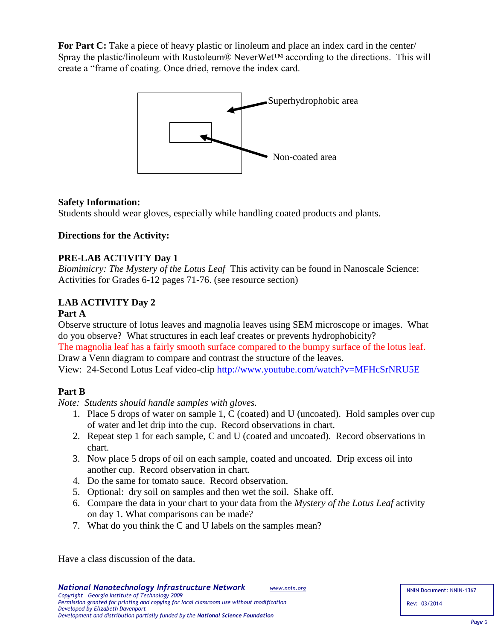**For Part C:** Take a piece of heavy plastic or linoleum and place an index card in the center/ Spray the plastic/linoleum with Rustoleum® NeverWet™ according to the directions. This will create a "frame of coating. Once dried, remove the index card.



### **Safety Information:**

Students should wear gloves, especially while handling coated products and plants.

## **Directions for the Activity:**

### **PRE-LAB ACTIVITY Day 1**

*Biomimicry: The Mystery of the Lotus Leaf* This activity can be found in Nanoscale Science: Activities for Grades 6-12 pages 71-76. (see resource section)

# **LAB ACTIVITY Day 2**

#### **Part A**

Observe structure of lotus leaves and magnolia leaves using SEM microscope or images. What do you observe? What structures in each leaf creates or prevents hydrophobicity?

The magnolia leaf has a fairly smooth surface compared to the bumpy surface of the lotus leaf. Draw a Venn diagram to compare and contrast the structure of the leaves.

View: 24-Second Lotus Leaf video-clip<http://www.youtube.com/watch?v=MFHcSrNRU5E>

## **Part B**

*Note: Students should handle samples with gloves.*

- 1. Place 5 drops of water on sample 1, C (coated) and U (uncoated). Hold samples over cup of water and let drip into the cup. Record observations in chart.
- 2. Repeat step 1 for each sample, C and U (coated and uncoated). Record observations in chart.
- 3. Now place 5 drops of oil on each sample, coated and uncoated. Drip excess oil into another cup. Record observation in chart.
- 4. Do the same for tomato sauce. Record observation.
- 5. Optional: dry soil on samples and then wet the soil. Shake off.
- 6. Compare the data in your chart to your data from the *Mystery of the Lotus Leaf* activity on day 1. What comparisons can be made?
- 7. What do you think the C and U labels on the samples mean?

Have a class discussion of the data.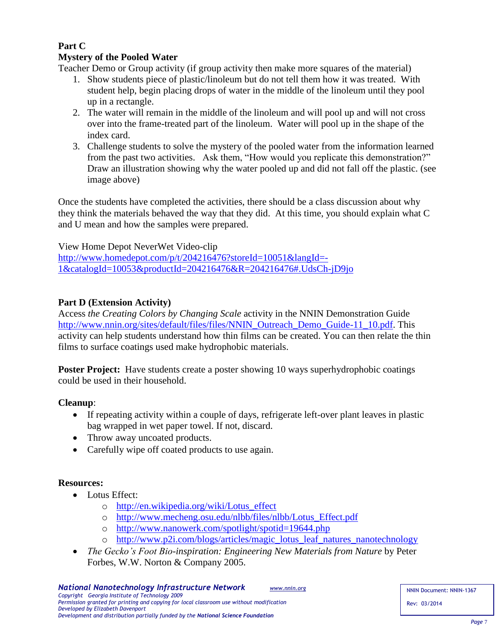# **Part C**

# **Mystery of the Pooled Water**

Teacher Demo or Group activity (if group activity then make more squares of the material)

- 1. Show students piece of plastic/linoleum but do not tell them how it was treated. With student help, begin placing drops of water in the middle of the linoleum until they pool up in a rectangle.
- 2. The water will remain in the middle of the linoleum and will pool up and will not cross over into the frame-treated part of the linoleum. Water will pool up in the shape of the index card.
- 3. Challenge students to solve the mystery of the pooled water from the information learned from the past two activities. Ask them, "How would you replicate this demonstration?" Draw an illustration showing why the water pooled up and did not fall off the plastic. (see image above)

Once the students have completed the activities, there should be a class discussion about why they think the materials behaved the way that they did. At this time, you should explain what C and U mean and how the samples were prepared.

View Home Depot NeverWet Video-clip

[http://www.homedepot.com/p/t/204216476?storeId=10051&langId=-](http://www.homedepot.com/p/t/204216476?storeId=10051&langId=-1&catalogId=10053&productId=204216476&R=204216476#.UdsCh-jD9jo) [1&catalogId=10053&productId=204216476&R=204216476#.UdsCh-jD9jo](http://www.homedepot.com/p/t/204216476?storeId=10051&langId=-1&catalogId=10053&productId=204216476&R=204216476#.UdsCh-jD9jo)

# **Part D (Extension Activity)**

Access *the Creating Colors by Changing Scale* activity in the NNIN Demonstration Guide [http://www.nnin.org/sites/default/files/files/NNIN\\_Outreach\\_Demo\\_Guide-11\\_10.pdf.](http://www.nnin.org/sites/default/files/files/NNIN_Outreach_Demo_Guide-11_10.pdf) This activity can help students understand how thin films can be created. You can then relate the thin films to surface coatings used make hydrophobic materials.

**Poster Project:** Have students create a poster showing 10 ways superhydrophobic coatings could be used in their household.

# **Cleanup**:

- If repeating activity within a couple of days, refrigerate left-over plant leaves in plastic bag wrapped in wet paper towel. If not, discard.
- Throw away uncoated products.
- Carefully wipe off coated products to use again.

## **Resources:**

- Lotus Effect:
	- o [http://en.wikipedia.org/wiki/Lotus\\_effect](http://en.wikipedia.org/wiki/Lotus_effect)
	- o [http://www.mecheng.osu.edu/nlbb/files/nlbb/Lotus\\_Effect.pdf](http://www.mecheng.osu.edu/nlbb/files/nlbb/Lotus_Effect.pdf)
	- o <http://www.nanowerk.com/spotlight/spotid=19644.php>
	- o [http://www.p2i.com/blogs/articles/magic\\_lotus\\_leaf\\_natures\\_nanotechnology](http://www.p2i.com/blogs/articles/magic_lotus_leaf_natures_nanotechnology)
- *The Gecko's Foot Bio-inspiration: Engineering New Materials from Nature* by Peter Forbes, W.W. Norton & Company 2005.